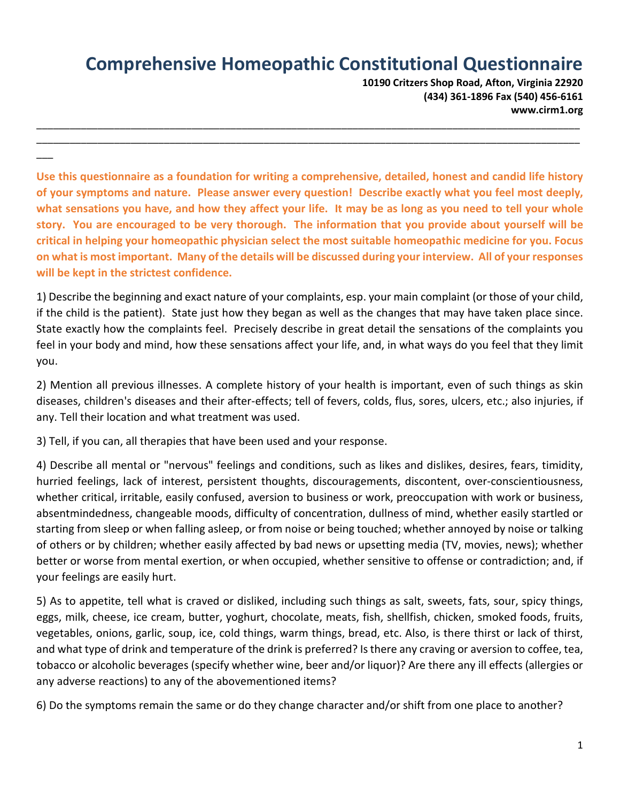## **Comprehensive Homeopathic Constitutional Questionnaire**

**10190 Critzers Shop Road, Afton, Virginia 22920 (434) 361-1896 Fax (540) 456-6161 www.cirm1.org**

**Use this questionnaire as a foundation for writing a comprehensive, detailed, honest and candid life history of your symptoms and nature. Please answer every question! Describe exactly what you feel most deeply, what sensations you have, and how they affect your life. It may be as long as you need to tell your whole story. You are encouraged to be very thorough. The information that you provide about yourself will be critical in helping your homeopathic physician select the most suitable homeopathic medicine for you. Focus on what is most important. Many of the details will be discussed during your interview. All of your responses will be kept in the strictest confidence.** 

\_\_\_\_\_\_\_\_\_\_\_\_\_\_\_\_\_\_\_\_\_\_\_\_\_\_\_\_\_\_\_\_\_\_\_\_\_\_\_\_\_\_\_\_\_\_\_\_\_\_\_\_\_\_\_\_\_\_\_\_\_\_\_\_\_\_\_\_\_\_\_\_\_\_\_\_\_\_\_\_\_\_\_\_\_\_\_\_\_\_\_\_\_\_\_\_\_\_ \_\_\_\_\_\_\_\_\_\_\_\_\_\_\_\_\_\_\_\_\_\_\_\_\_\_\_\_\_\_\_\_\_\_\_\_\_\_\_\_\_\_\_\_\_\_\_\_\_\_\_\_\_\_\_\_\_\_\_\_\_\_\_\_\_\_\_\_\_\_\_\_\_\_\_\_\_\_\_\_\_\_\_\_\_\_\_\_\_\_\_\_\_\_\_\_\_\_

1) Describe the beginning and exact nature of your complaints, esp. your main complaint (or those of your child, if the child is the patient). State just how they began as well as the changes that may have taken place since. State exactly how the complaints feel. Precisely describe in great detail the sensations of the complaints you feel in your body and mind, how these sensations affect your life, and, in what ways do you feel that they limit you.

2) Mention all previous illnesses. A complete history of your health is important, even of such things as skin diseases, children's diseases and their after-effects; tell of fevers, colds, flus, sores, ulcers, etc.; also injuries, if any. Tell their location and what treatment was used.

3) Tell, if you can, all therapies that have been used and your response.

 $\overline{\phantom{a}}$ 

4) Describe all mental or "nervous" feelings and conditions, such as likes and dislikes, desires, fears, timidity, hurried feelings, lack of interest, persistent thoughts, discouragements, discontent, over-conscientiousness, whether critical, irritable, easily confused, aversion to business or work, preoccupation with work or business, absentmindedness, changeable moods, difficulty of concentration, dullness of mind, whether easily startled or starting from sleep or when falling asleep, or from noise or being touched; whether annoyed by noise or talking of others or by children; whether easily affected by bad news or upsetting media (TV, movies, news); whether better or worse from mental exertion, or when occupied, whether sensitive to offense or contradiction; and, if your feelings are easily hurt.

5) As to appetite, tell what is craved or disliked, including such things as salt, sweets, fats, sour, spicy things, eggs, milk, cheese, ice cream, butter, yoghurt, chocolate, meats, fish, shellfish, chicken, smoked foods, fruits, vegetables, onions, garlic, soup, ice, cold things, warm things, bread, etc. Also, is there thirst or lack of thirst, and what type of drink and temperature of the drink is preferred? Is there any craving or aversion to coffee, tea, tobacco or alcoholic beverages (specify whether wine, beer and/or liquor)? Are there any ill effects (allergies or any adverse reactions) to any of the abovementioned items?

6) Do the symptoms remain the same or do they change character and/or shift from one place to another?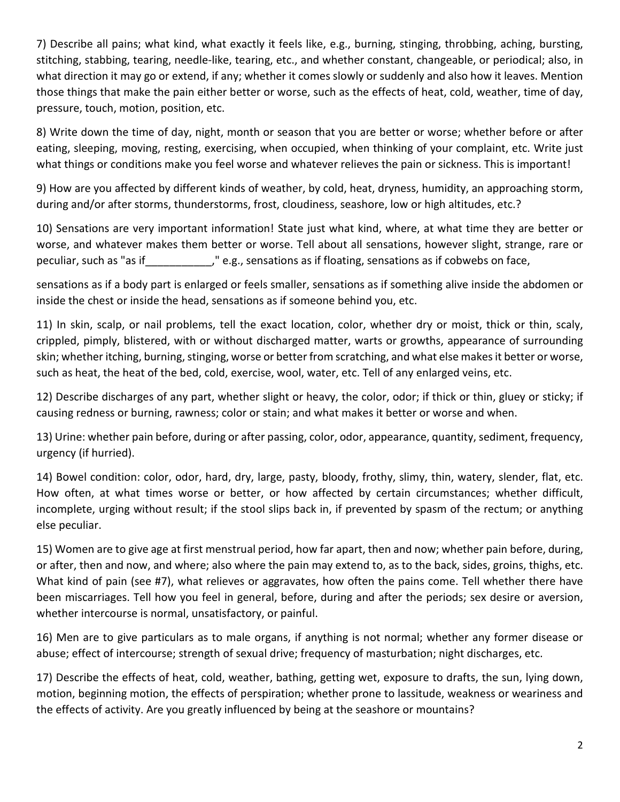7) Describe all pains; what kind, what exactly it feels like, e.g., burning, stinging, throbbing, aching, bursting, stitching, stabbing, tearing, needle-like, tearing, etc., and whether constant, changeable, or periodical; also, in what direction it may go or extend, if any; whether it comes slowly or suddenly and also how it leaves. Mention those things that make the pain either better or worse, such as the effects of heat, cold, weather, time of day, pressure, touch, motion, position, etc.

8) Write down the time of day, night, month or season that you are better or worse; whether before or after eating, sleeping, moving, resting, exercising, when occupied, when thinking of your complaint, etc. Write just what things or conditions make you feel worse and whatever relieves the pain or sickness. This is important!

9) How are you affected by different kinds of weather, by cold, heat, dryness, humidity, an approaching storm, during and/or after storms, thunderstorms, frost, cloudiness, seashore, low or high altitudes, etc.?

10) Sensations are very important information! State just what kind, where, at what time they are better or worse, and whatever makes them better or worse. Tell about all sensations, however slight, strange, rare or peculiar, such as "as if Theselliar, such as "as if mean on the e.g., sensations as if cobwebs on face, peculiar

sensations as if a body part is enlarged or feels smaller, sensations as if something alive inside the abdomen or inside the chest or inside the head, sensations as if someone behind you, etc.

11) In skin, scalp, or nail problems, tell the exact location, color, whether dry or moist, thick or thin, scaly, crippled, pimply, blistered, with or without discharged matter, warts or growths, appearance of surrounding skin; whether itching, burning, stinging, worse or better from scratching, and what else makes it better or worse, such as heat, the heat of the bed, cold, exercise, wool, water, etc. Tell of any enlarged veins, etc.

12) Describe discharges of any part, whether slight or heavy, the color, odor; if thick or thin, gluey or sticky; if causing redness or burning, rawness; color or stain; and what makes it better or worse and when.

13) Urine: whether pain before, during or after passing, color, odor, appearance, quantity, sediment, frequency, urgency (if hurried).

14) Bowel condition: color, odor, hard, dry, large, pasty, bloody, frothy, slimy, thin, watery, slender, flat, etc. How often, at what times worse or better, or how affected by certain circumstances; whether difficult, incomplete, urging without result; if the stool slips back in, if prevented by spasm of the rectum; or anything else peculiar.

15) Women are to give age at first menstrual period, how far apart, then and now; whether pain before, during, or after, then and now, and where; also where the pain may extend to, as to the back, sides, groins, thighs, etc. What kind of pain (see #7), what relieves or aggravates, how often the pains come. Tell whether there have been miscarriages. Tell how you feel in general, before, during and after the periods; sex desire or aversion, whether intercourse is normal, unsatisfactory, or painful.

16) Men are to give particulars as to male organs, if anything is not normal; whether any former disease or abuse; effect of intercourse; strength of sexual drive; frequency of masturbation; night discharges, etc.

17) Describe the effects of heat, cold, weather, bathing, getting wet, exposure to drafts, the sun, lying down, motion, beginning motion, the effects of perspiration; whether prone to lassitude, weakness or weariness and the effects of activity. Are you greatly influenced by being at the seashore or mountains?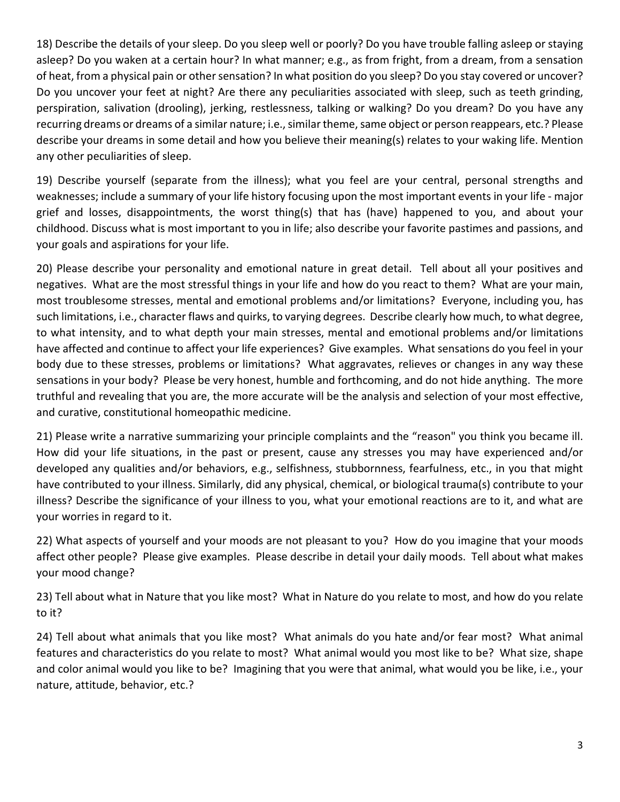18) Describe the details of your sleep. Do you sleep well or poorly? Do you have trouble falling asleep or staying asleep? Do you waken at a certain hour? In what manner; e.g., as from fright, from a dream, from a sensation of heat, from a physical pain or other sensation? In what position do you sleep? Do you stay covered or uncover? Do you uncover your feet at night? Are there any peculiarities associated with sleep, such as teeth grinding, perspiration, salivation (drooling), jerking, restlessness, talking or walking? Do you dream? Do you have any recurring dreams or dreams of a similar nature; i.e., similar theme, same object or person reappears, etc.? Please describe your dreams in some detail and how you believe their meaning(s) relates to your waking life. Mention any other peculiarities of sleep.

19) Describe yourself (separate from the illness); what you feel are your central, personal strengths and weaknesses; include a summary of your life history focusing upon the most important events in your life - major grief and losses, disappointments, the worst thing(s) that has (have) happened to you, and about your childhood. Discuss what is most important to you in life; also describe your favorite pastimes and passions, and your goals and aspirations for your life.

20) Please describe your personality and emotional nature in great detail. Tell about all your positives and negatives. What are the most stressful things in your life and how do you react to them? What are your main, most troublesome stresses, mental and emotional problems and/or limitations? Everyone, including you, has such limitations, i.e., character flaws and quirks, to varying degrees. Describe clearly how much, to what degree, to what intensity, and to what depth your main stresses, mental and emotional problems and/or limitations have affected and continue to affect your life experiences? Give examples. What sensations do you feel in your body due to these stresses, problems or limitations? What aggravates, relieves or changes in any way these sensations in your body? Please be very honest, humble and forthcoming, and do not hide anything. The more truthful and revealing that you are, the more accurate will be the analysis and selection of your most effective, and curative, constitutional homeopathic medicine.

21) Please write a narrative summarizing your principle complaints and the "reason" you think you became ill. How did your life situations, in the past or present, cause any stresses you may have experienced and/or developed any qualities and/or behaviors, e.g., selfishness, stubbornness, fearfulness, etc., in you that might have contributed to your illness. Similarly, did any physical, chemical, or biological trauma(s) contribute to your illness? Describe the significance of your illness to you, what your emotional reactions are to it, and what are your worries in regard to it.

22) What aspects of yourself and your moods are not pleasant to you? How do you imagine that your moods affect other people? Please give examples. Please describe in detail your daily moods. Tell about what makes your mood change?

23) Tell about what in Nature that you like most? What in Nature do you relate to most, and how do you relate to it?

24) Tell about what animals that you like most? What animals do you hate and/or fear most? What animal features and characteristics do you relate to most? What animal would you most like to be? What size, shape and color animal would you like to be? Imagining that you were that animal, what would you be like, i.e., your nature, attitude, behavior, etc.?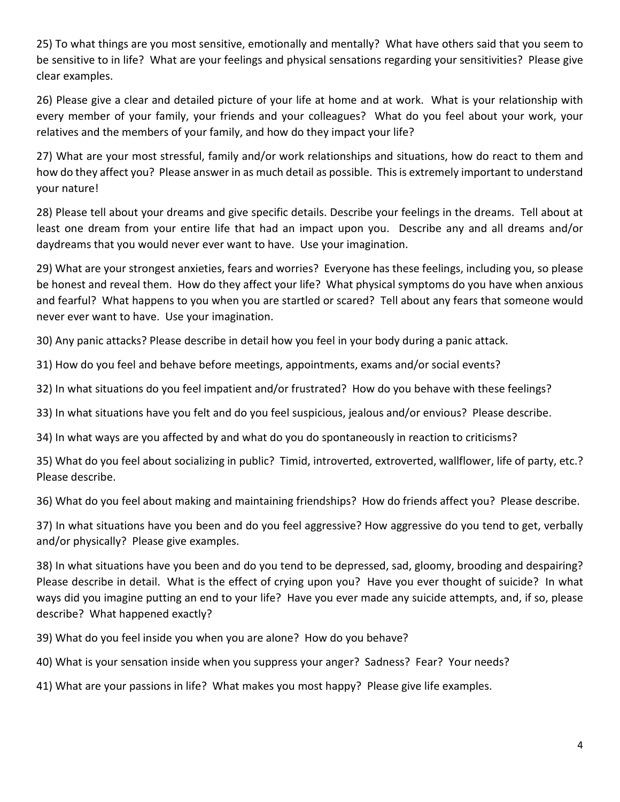25) To what things are you most sensitive, emotionally and mentally? What have others said that you seem to be sensitive to in life? What are your feelings and physical sensations regarding your sensitivities? Please give clear examples.

26) Please give a clear and detailed picture of your life at home and at work. What is your relationship with every member of your family, your friends and your colleagues? What do you feel about your work, your relatives and the members of your family, and how do they impact your life?

27) What are your most stressful, family and/or work relationships and situations, how do react to them and how do they affect you? Please answer in as much detail as possible. This is extremely important to understand your nature!

28) Please tell about your dreams and give specific details. Describe your feelings in the dreams. Tell about at least one dream from your entire life that had an impact upon you. Describe any and all dreams and/or daydreams that you would never ever want to have. Use your imagination.

29) What are your strongest anxieties, fears and worries? Everyone has these feelings, including you, so please be honest and reveal them. How do they affect your life? What physical symptoms do you have when anxious and fearful? What happens to you when you are startled or scared? Tell about any fears that someone would never ever want to have. Use your imagination.

30) Any panic attacks? Please describe in detail how you feel in your body during a panic attack.

31) How do you feel and behave before meetings, appointments, exams and/or social events?

32) In what situations do you feel impatient and/or frustrated? How do you behave with these feelings?

33) In what situations have you felt and do you feel suspicious, jealous and/or envious? Please describe.

34) In what ways are you affected by and what do you do spontaneously in reaction to criticisms?

35) What do you feel about socializing in public? Timid, introverted, extroverted, wallflower, life of party, etc.? Please describe.

36) What do you feel about making and maintaining friendships? How do friends affect you? Please describe.

37) In what situations have you been and do you feel aggressive? How aggressive do you tend to get, verbally and/or physically? Please give examples.

38) In what situations have you been and do you tend to be depressed, sad, gloomy, brooding and despairing? Please describe in detail. What is the effect of crying upon you? Have you ever thought of suicide? In what ways did you imagine putting an end to your life? Have you ever made any suicide attempts, and, if so, please describe? What happened exactly?

39) What do you feel inside you when you are alone? How do you behave?

40) What is your sensation inside when you suppress your anger? Sadness? Fear? Your needs?

41) What are your passions in life? What makes you most happy? Please give life examples.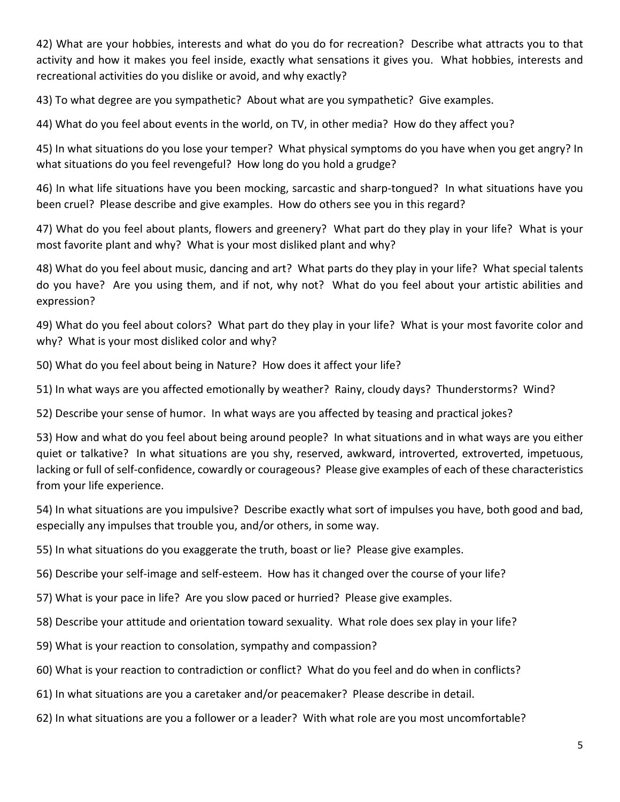42) What are your hobbies, interests and what do you do for recreation? Describe what attracts you to that activity and how it makes you feel inside, exactly what sensations it gives you. What hobbies, interests and recreational activities do you dislike or avoid, and why exactly?

43) To what degree are you sympathetic? About what are you sympathetic? Give examples.

44) What do you feel about events in the world, on TV, in other media? How do they affect you?

45) In what situations do you lose your temper? What physical symptoms do you have when you get angry? In what situations do you feel revengeful? How long do you hold a grudge?

46) In what life situations have you been mocking, sarcastic and sharp-tongued? In what situations have you been cruel? Please describe and give examples. How do others see you in this regard?

47) What do you feel about plants, flowers and greenery? What part do they play in your life? What is your most favorite plant and why? What is your most disliked plant and why?

48) What do you feel about music, dancing and art? What parts do they play in your life? What special talents do you have? Are you using them, and if not, why not? What do you feel about your artistic abilities and expression?

49) What do you feel about colors? What part do they play in your life? What is your most favorite color and why? What is your most disliked color and why?

50) What do you feel about being in Nature? How does it affect your life?

51) In what ways are you affected emotionally by weather? Rainy, cloudy days? Thunderstorms? Wind?

52) Describe your sense of humor. In what ways are you affected by teasing and practical jokes?

53) How and what do you feel about being around people? In what situations and in what ways are you either quiet or talkative? In what situations are you shy, reserved, awkward, introverted, extroverted, impetuous, lacking or full of self-confidence, cowardly or courageous? Please give examples of each of these characteristics from your life experience.

54) In what situations are you impulsive? Describe exactly what sort of impulses you have, both good and bad, especially any impulses that trouble you, and/or others, in some way.

55) In what situations do you exaggerate the truth, boast or lie? Please give examples.

56) Describe your self-image and self-esteem. How has it changed over the course of your life?

- 57) What is your pace in life? Are you slow paced or hurried? Please give examples.
- 58) Describe your attitude and orientation toward sexuality. What role does sex play in your life?
- 59) What is your reaction to consolation, sympathy and compassion?
- 60) What is your reaction to contradiction or conflict? What do you feel and do when in conflicts?
- 61) In what situations are you a caretaker and/or peacemaker? Please describe in detail.
- 62) In what situations are you a follower or a leader? With what role are you most uncomfortable?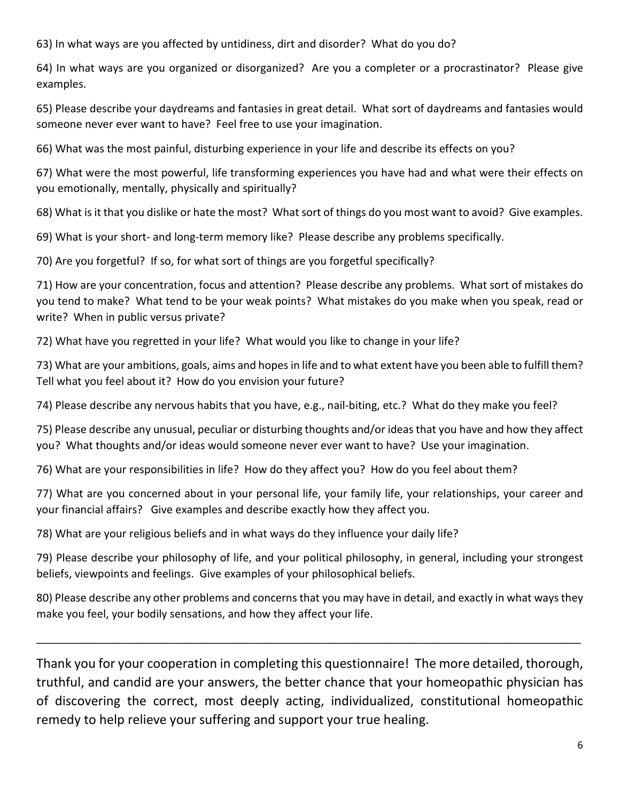63) In what ways are you affected by untidiness, dirt and disorder? What do you do?

64) In what ways are you organized or disorganized? Are you a completer or a procrastinator? Please give examples.

65) Please describe your daydreams and fantasies in great detail. What sort of daydreams and fantasies would someone never ever want to have? Feel free to use your imagination.

66) What was the most painful, disturbing experience in your life and describe its effects on you?

67) What were the most powerful, life transforming experiences you have had and what were their effects on you emotionally, mentally, physically and spiritually?

68) What is it that you dislike or hate the most? What sort of things do you most want to avoid? Give examples.

69) What is your short- and long-term memory like? Please describe any problems specifically.

70) Are you forgetful? If so, for what sort of things are you forgetful specifically?

71) How are your concentration, focus and attention? Please describe any problems. What sort of mistakes do you tend to make? What tend to be your weak points? What mistakes do you make when you speak, read or write? When in public versus private?

72) What have you regretted in your life? What would you like to change in your life?

73) What are your ambitions, goals, aims and hopes in life and to what extent have you been able to fulfill them? Tell what you feel about it? How do you envision your future?

74) Please describe any nervous habits that you have, e.g., nail-biting, etc.? What do they make you feel?

75) Please describe any unusual, peculiar or disturbing thoughts and/or ideas that you have and how they affect you? What thoughts and/or ideas would someone never ever want to have? Use your imagination.

76) What are your responsibilities in life? How do they affect you? How do you feel about them?

77) What are you concerned about in your personal life, your family life, your relationships, your career and your financial affairs? Give examples and describe exactly how they affect you.

78) What are your religious beliefs and in what ways do they influence your daily life?

79) Please describe your philosophy of life, and your political philosophy, in general, including your strongest beliefs, viewpoints and feelings. Give examples of your philosophical beliefs.

80) Please describe any other problems and concerns that you may have in detail, and exactly in what ways they make you feel, your bodily sensations, and how they affect your life.

\_\_\_\_\_\_\_\_\_\_\_\_\_\_\_\_\_\_\_\_\_\_\_\_\_\_\_\_\_\_\_\_\_\_\_\_\_\_\_\_\_\_\_\_\_\_\_\_\_\_\_\_\_\_\_\_\_\_\_\_\_\_\_\_\_\_\_\_\_\_\_\_\_\_\_\_\_\_\_\_\_\_\_\_\_\_\_\_\_\_

Thank you for your cooperation in completing this questionnaire! The more detailed, thorough, truthful, and candid are your answers, the better chance that your homeopathic physician has of discovering the correct, most deeply acting, individualized, constitutional homeopathic remedy to help relieve your suffering and support your true healing.